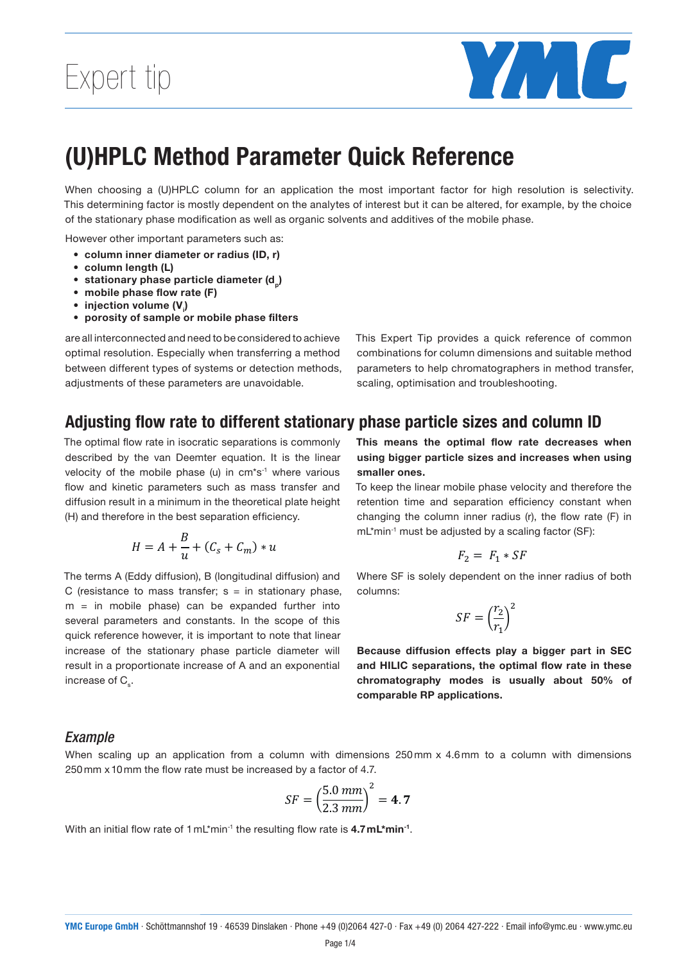

#### Devemeter Ouiel, Deference (U)HPLC Method Parameter Quick Reference these parameters are unavoided with provides a common  $\alpha$ altered, for example, by the stationary phase model as well as well as well as well as well as well as well as well as well as well as well as well as well as well as well as well as well as well as well as well as well a and additional phase. The mobile part of the mobile part of the mobile part of the mobile phase. The mobile ph

When choosing a (U)HPLC column for an application the most important factor for high resolution is selectivity. This determining factor is mostly dependent on the analytes of interest but it can be altered, for example, by the choice If the stationary phase modification as well as organic solvents and additives of the mobile phase. - **column length (L)**

 $\lim_{n \to \infty}$  (ID  $r$ ) However other important parameters such as: **FOWEVER OFFER IMPORTANT PARAMETERS SUCHT AS.**<br>• **column inner diameter or radius (ID, r)** 

- 
- column length (L) **mobile phase flow rate (F)**
- $\mathbf{C}$  and  $\mathbf{C}$  is comparations is comparations in its commonly described by the van  $\mathbf{C}$  $\cdot$  the mobile phase (u) in cm s-1 where various flow and kinetic parameters  $\cdot$ • stationary phase particle diameter (d<sub>p</sub>) The optimal flow rate in isocratic separations is commonly described by the van Deemter equation. It is the linear velocity of the mobile phase (u) in cm\*s-1 where various flow and kinetic parameters
- mobile phase flow rate (F)
	- $\bullet~$  injection volume (V<sub>i</sub>)
- $\bullet\,$  porosity of sample or mobile phase filters such as mass transfer and diffusion result in a minimum in the theoretical plate height (H) and therefore in the best separation efficiency.

are all interconnected and need to be considered to achieve This Expert Tip provid optimal resolution. Especially when transferring a method combinations for colun between different types of systems or detection methods, parameters to help chr adjustments of these parameters are unavoidable.

combinations for column dimensions and suitable method<br>parameters to help chromatographers in method transfer, combinations for column dimensions and suitable method re unavoidable. The scaling, optimisation and troubleshooting. This Expert Tip provides a quick reference of common a community, b community, a community and C (resistance to mass transference to mass transfer see in mass transfer

### Adjusting flow rate to different stationary phase particle sizes and column ID

velocity of the mobile phase (u) in cm<sup>\*</sup>s<sup>-1</sup> where various smaller one The optimal flow rate in isocratic separations is commonly described by the van Deemter equation. It is the linear For the mobile phase (u) in cm stathed various summer chest.<br>flow and kinetic parameters such as mass transfer and To keep the linear mobi diffusion result in a minimum in the theoretical plate height retention time and se (H) and therefore in the best separation efficiency. The optimization flow rate in isocratic separations in is commonly described by the van Deemeter equation. It is commonly described by the variable separation. It is continuous commonly described by the control of the cont

$$
H = A + \frac{B}{u} + (C_s + C_m) * u
$$

The terms A (Eddy diffusion), B (longitudinal diffusion) and The terms A (Eddy diffusion), B (longitudinal diffusion) and C (resistance to mass transfer; s= in C (resistance to mass transfer;  $s = in$  stationary phase, columns: m = in mobile phase) can be expanded further into  $\zeta$ several parameters and constants. In the scope of this several parameters and constants. In the scope of this<br>quick reference however, it is important to note that linear quent creasing means the important to nece that threatened increase of the stationary phase particle diameter will **Because diffusion ef** result in a proportionate increase of A and an exponential increase of  $\mathsf{C}_\mathsf{s}.$ The linear mobile phase velocity and the retention of the retention of the retention of  $\mathbf{r}_s$ .

eparations is commonly This means the optimal flow rate decreases when quation. It is the linear **using bigger particle sizes and increases when using** smaller ones.

e theoretical plate height retention time and separation efficiency constant when ation efficiency. Changing the column inner radius (r), the flow rate (F) in To keep the linear mobile phase velocity and therefore the mL\*min-1 must be adjusted by a scaling factor (SF):

$$
F_2 = F_1 * SF
$$

ngitudinal diffusion) and Where SF is solely dependent on the inner radius of both columns: columns:

$$
SF = \left(\frac{r_2}{r_1}\right)^2
$$

particle diameter will **Because diffusion effects play a bigger part in SEC** of A and an exponential and HILIC separations, the optimal flow rate in these chromatography modes is usually about 50% of comparable RP applications. comparable the application of the flow rate (F) in mapplic

### *Example* **Example:** When scaling up an application from a column with dimensions 250 mm x 4.6 mm to

ستدمین به در دسترین به دست<br>When scaling up an application from a column with dimensions 250mm x 4.6mm to a column with dimensions  $250 \text{ mm} \times 10 \text{ mm}$  the flow rate must be increased by a factor of 4.7.

$$
SF = \left(\frac{5.0 \, mm}{2.3 \, mm}\right)^2 = 4.7
$$

With an initial flow rate of 1mL\*min-1 the resulting flow rate is 4.7mL\*min-1. With an initial flow rate of 1 mL\*min-1 the resulting flow rate is **4.7 mL\*min-1 Because diffusion effects play a bigger part in SEC and HILIC separations, the optimal flow rate in**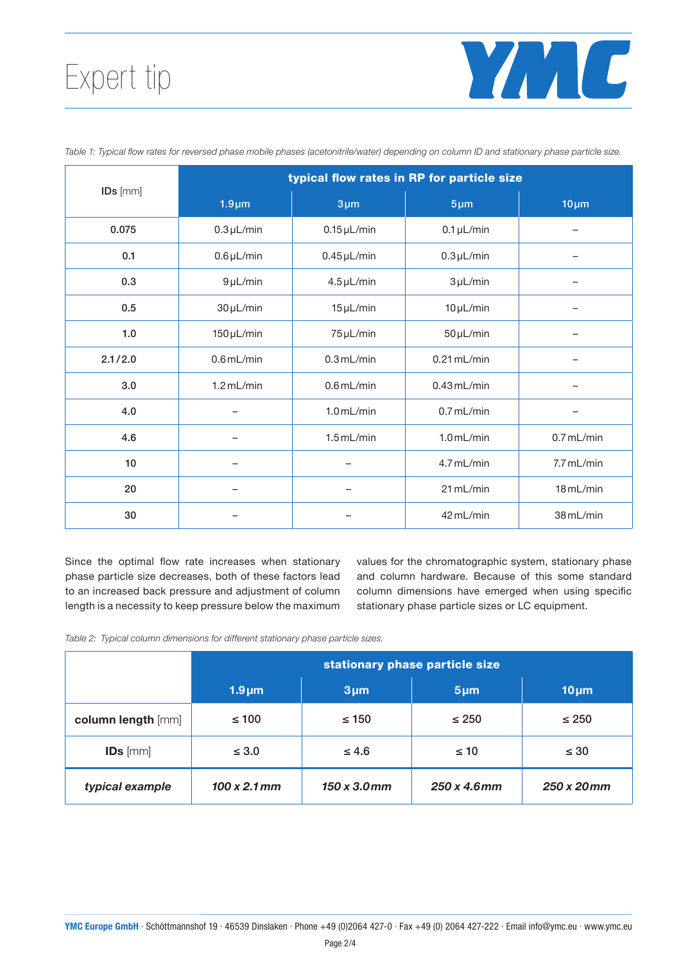# Expert tip



| IDs [mm]  | typical flow rates in RP for particle size |                  |                 |              |  |
|-----------|--------------------------------------------|------------------|-----------------|--------------|--|
|           | $1.9 \mu m$                                | $3 \mu m$        | $5 \mu m$       | $10 \mu m$   |  |
| 0.075     | $0.3 \mu L/min$                            | $0.15 \mu L/min$ | $0.1 \mu L/min$ |              |  |
| 0.1       | $0.6 \mu L/min$                            | $0.45 \mu L/min$ | $0.3 \mu L/min$ |              |  |
| 0.3       | $9 \mu L/min$                              | $4.5 \mu L/min$  | $3 \mu L/min$   |              |  |
| 0.5       | $30 \mu L/min$                             | $15 \mu L/min$   | $10 \mu L/min$  |              |  |
| 1.0       | $150 \mu L/min$                            | 75 µL/min        | $50 \mu L/min$  |              |  |
| 2.1 / 2.0 | $0.6$ mL/min                               | $0.3$ mL/min     | $0.21$ mL/min   |              |  |
| 3.0       | $1.2$ mL/min                               | $0.6$ mL/min     | $0.43$ mL/min   |              |  |
| 4.0       |                                            | $1.0$ mL/min     | $0.7$ mL/min    |              |  |
| 4.6       |                                            | $1.5$ mL/min     | $1.0$ mL/min    | $0.7$ mL/min |  |
| 10        |                                            |                  | 4.7 mL/min      | 7.7 mL/min   |  |
| 20        |                                            |                  | 21 mL/min       | 18 mL/min    |  |
| 30        |                                            |                  | 42 mL/min       | 38 mL/min    |  |

Table 1: Typical flow rates for reversed phase mobile phases (acetonitrile/water) depending on column ID and stationary phase particle size.

Since the optimal flow rate increases when stationary phase particle size decreases, both of these factors lead to an increased back pressure and adjustment of column length is a necessity to keep pressure below the maximum values for the chromatographic system, stationary phase and column hardware. Because of this some standard column dimensions have emerged when using specific stationary phase particle sizes or LC equipment.

Table 2: Typical column dimensions for different stationary phase particle sizes.

|                    | stationary phase particle size |                     |                     |             |
|--------------------|--------------------------------|---------------------|---------------------|-------------|
|                    | $1.9 \mu m$                    | $3 \mu m$           | $5 \mu m$           | $10 \mu m$  |
| column length [mm] | $\leq 100$                     | $\leq 150$          | $\leq 250$          | $\leq 250$  |
| $IDs$ [mm]         | $\leq 3.0$                     | $\leq 4.6$          | $\leq 10$           | $\leq 30$   |
| typical example    | $100 \times 2.1 \, \text{mm}$  | $150 \times 3.0$ mm | $250 \times 4.6$ mm | 250 x 20 mm |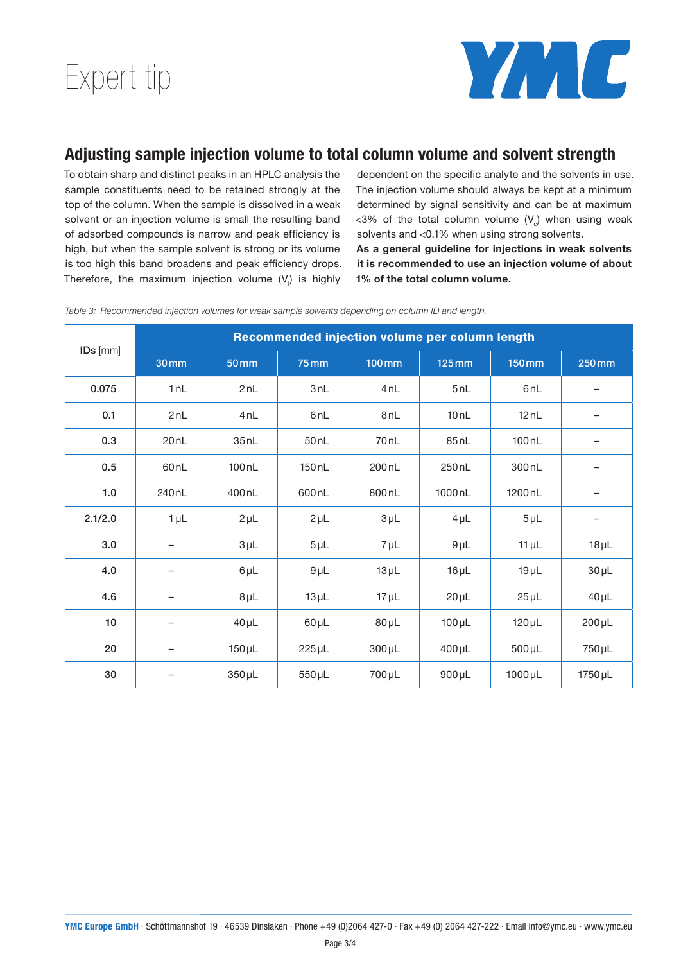

## Adjusting sample injection volume to total column volume and solvent strength

To obtain sharp and distinct peaks in an HPLC analysis the sample constituents need to be retained strongly at the top of the column. When the sample is dissolved in a weak solvent or an injection volume is small the resulting band of adsorbed compounds is narrow and peak efficiency is high, but when the sample solvent is strong or its volume is too high this band broadens and peak efficiency drops. Therefore, the maximum injection volume  $(V_j)$  is highly dependent on the specific analyte and the solvents in use. The injection volume should always be kept at a minimum determined by signal sensitivity and can be at maximum <3% of the total column volume  $(V_c)$  when using weak solvents and <0.1% when using strong solvents.

As a general guideline for injections in weak solvents it is recommended to use an injection volume of about 1% of the total column volume.

|          | Recommended injection volume per column length |                   |                   |                    |                     |                     |             |
|----------|------------------------------------------------|-------------------|-------------------|--------------------|---------------------|---------------------|-------------|
| IDs [mm] | <b>30mm</b>                                    | <b>50 mm</b>      | <b>75mm</b>       | 100mm              | $125 \,\mathrm{mm}$ | <b>150mm</b>        | 250 mm      |
| 0.075    | 1nL                                            | 2nL               | 3nl               | 4nL                | 5nl                 | 6 <sub>nL</sub>     |             |
| 0.1      | 2nL                                            | 4nL               | 6 <sub>nL</sub>   | 8 <sub>nL</sub>    | 10nL                | 12nL                |             |
| 0.3      | 20nL                                           | 35nL              | 50nL              | 70 <sub>nL</sub>   | 85nL                | 100 <sub>nL</sub>   |             |
| 0.5      | 60 <sub>nL</sub>                               | 100 <sub>nL</sub> | 150 <sub>nL</sub> | 200 nL             | 250 <sub>nL</sub>   | 300 <sub>nL</sub>   |             |
| 1.0      | 240 <sub>nL</sub>                              | 400 <sub>nL</sub> | 600 <sub>nL</sub> | 800 <sub>nL</sub>  | 1000 <sub>nL</sub>  | 1200 <sub>n</sub> L | -           |
| 2.1/2.0  | $1 \mu L$                                      | $2 \mu L$         | $2 \mu L$         | $3 \mu L$          | $4 \mu L$           | $5 \mu L$           | -           |
| 3.0      |                                                | $3 \mu L$         | $5 \mu L$         | $7 \mu L$          | $9 \mu L$           | $11 \mu L$          | $18 \mu L$  |
| 4.0      | -                                              | $6\mu L$          | $9 \mu L$         | $13 \mu L$         | $16 \mu L$          | $19 \mu L$          | $30 \mu L$  |
| 4.6      | -                                              | $8 \mu L$         | $13 \mu L$        | $17 \mu L$         | $20 \mu L$          | $25 \mu L$          | $40 \mu L$  |
| 10       |                                                | $40 \mu L$        | $60 \mu L$        | $80 \mu L$         | $100 \mu L$         | $120 \mu L$         | $200 \mu L$ |
| 20       |                                                | $150 \mu L$       | $225 \mu L$       | $300 \mu L$        | $400 \mu L$         | $500 \mu L$         | 750 µL      |
| 30       | -                                              | $350 \mu L$       | $550 \mu L$       | 700 <sub>µ</sub> L | $900 \mu L$         | $1000 \mu L$        | 1750 µL     |

Table 3: Recommended injection volumes for weak sample solvents depending on column ID and length.